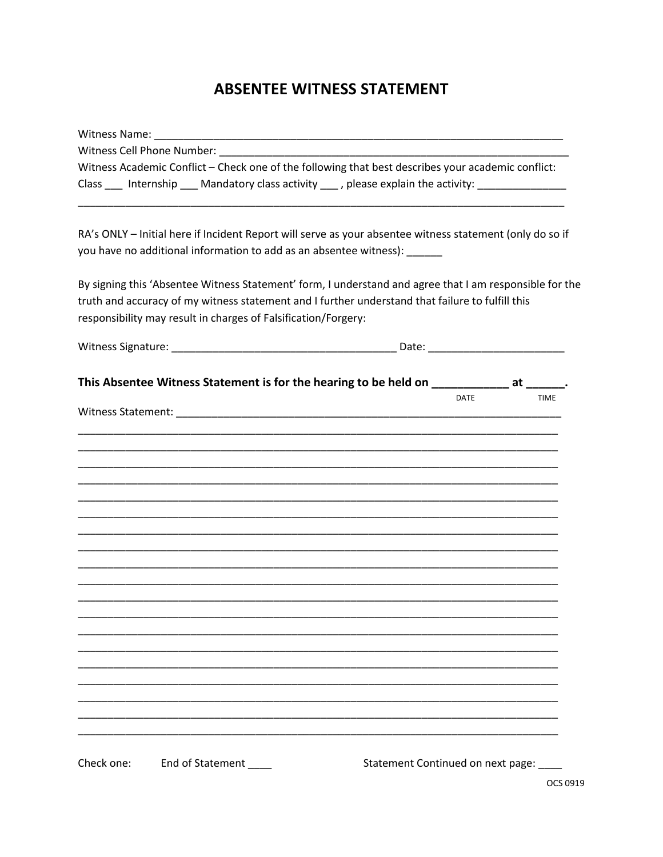## **ABSENTEE WITNESS STATEMENT**

| Witness Cell Phone Number: Witness Cell Phone Number:          |                  |  |                                                                                                                                                                                                             |      |             |
|----------------------------------------------------------------|------------------|--|-------------------------------------------------------------------------------------------------------------------------------------------------------------------------------------------------------------|------|-------------|
|                                                                |                  |  | Witness Academic Conflict - Check one of the following that best describes your academic conflict:                                                                                                          |      |             |
|                                                                |                  |  | Class ___ Internship ___ Mandatory class activity ___ , please explain the activity: ______________                                                                                                         |      |             |
|                                                                |                  |  | RA's ONLY - Initial here if Incident Report will serve as your absentee witness statement (only do so if                                                                                                    |      |             |
|                                                                |                  |  | you have no additional information to add as an absentee witness): ______                                                                                                                                   |      |             |
| responsibility may result in charges of Falsification/Forgery: |                  |  | By signing this 'Absentee Witness Statement' form, I understand and agree that I am responsible for the<br>truth and accuracy of my witness statement and I further understand that failure to fulfill this |      |             |
|                                                                |                  |  |                                                                                                                                                                                                             |      |             |
|                                                                |                  |  | This Absentee Witness Statement is for the hearing to be held on _____________ at ______.                                                                                                                   |      |             |
|                                                                |                  |  |                                                                                                                                                                                                             | DATE | <b>TIME</b> |
|                                                                |                  |  |                                                                                                                                                                                                             |      |             |
|                                                                |                  |  |                                                                                                                                                                                                             |      |             |
|                                                                |                  |  |                                                                                                                                                                                                             |      |             |
|                                                                |                  |  |                                                                                                                                                                                                             |      |             |
|                                                                |                  |  |                                                                                                                                                                                                             |      |             |
|                                                                |                  |  |                                                                                                                                                                                                             |      |             |
|                                                                |                  |  |                                                                                                                                                                                                             |      |             |
|                                                                |                  |  |                                                                                                                                                                                                             |      |             |
|                                                                |                  |  |                                                                                                                                                                                                             |      |             |
|                                                                |                  |  |                                                                                                                                                                                                             |      |             |
|                                                                |                  |  |                                                                                                                                                                                                             |      |             |
|                                                                |                  |  |                                                                                                                                                                                                             |      |             |
| Check one:                                                     | End of Statement |  | Statement Continued on next page:                                                                                                                                                                           |      |             |